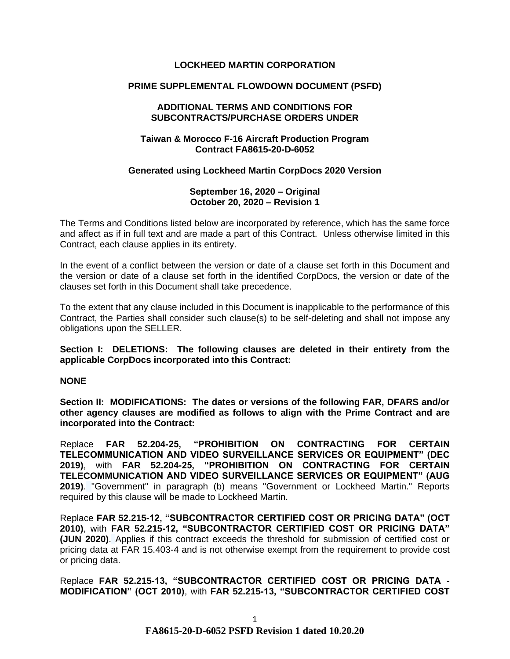## **LOCKHEED MARTIN CORPORATION**

## **PRIME SUPPLEMENTAL FLOWDOWN DOCUMENT (PSFD)**

#### **ADDITIONAL TERMS AND CONDITIONS FOR SUBCONTRACTS/PURCHASE ORDERS UNDER**

## **Taiwan & Morocco F-16 Aircraft Production Program Contract FA8615-20-D-6052**

## **Generated using Lockheed Martin CorpDocs 2020 Version**

### **September 16, 2020 – Original October 20, 2020 – Revision 1**

The Terms and Conditions listed below are incorporated by reference, which has the same force and affect as if in full text and are made a part of this Contract. Unless otherwise limited in this Contract, each clause applies in its entirety.

In the event of a conflict between the version or date of a clause set forth in this Document and the version or date of a clause set forth in the identified CorpDocs, the version or date of the clauses set forth in this Document shall take precedence.

To the extent that any clause included in this Document is inapplicable to the performance of this Contract, the Parties shall consider such clause(s) to be self-deleting and shall not impose any obligations upon the SELLER.

**Section I: DELETIONS: The following clauses are deleted in their entirety from the applicable CorpDocs incorporated into this Contract:**

### **NONE**

**Section II: MODIFICATIONS: The dates or versions of the following FAR, DFARS and/or other agency clauses are modified as follows to align with the Prime Contract and are incorporated into the Contract:**

Replace **FAR 52.204-25, "PROHIBITION ON CONTRACTING FOR CERTAIN TELECOMMUNICATION AND VIDEO SURVEILLANCE SERVICES OR EQUIPMENT" (DEC 2019)**, with **FAR 52.204-25, "PROHIBITION ON CONTRACTING FOR CERTAIN TELECOMMUNICATION AND VIDEO SURVEILLANCE SERVICES OR EQUIPMENT" (AUG 2019)**. "Government" in paragraph (b) means "Government or Lockheed Martin." Reports required by this clause will be made to Lockheed Martin.

Replace **FAR 52.215-12, "SUBCONTRACTOR CERTIFIED COST OR PRICING DATA" (OCT 2010)**, with **FAR 52.215-12, "SUBCONTRACTOR CERTIFIED COST OR PRICING DATA" (JUN 2020)**. Applies if this contract exceeds the threshold for submission of certified cost or pricing data at FAR 15.403-4 and is not otherwise exempt from the requirement to provide cost or pricing data.

Replace **FAR 52.215-13, "SUBCONTRACTOR CERTIFIED COST OR PRICING DATA - MODIFICATION" (OCT 2010)**, with **FAR 52.215-13, "SUBCONTRACTOR CERTIFIED COST**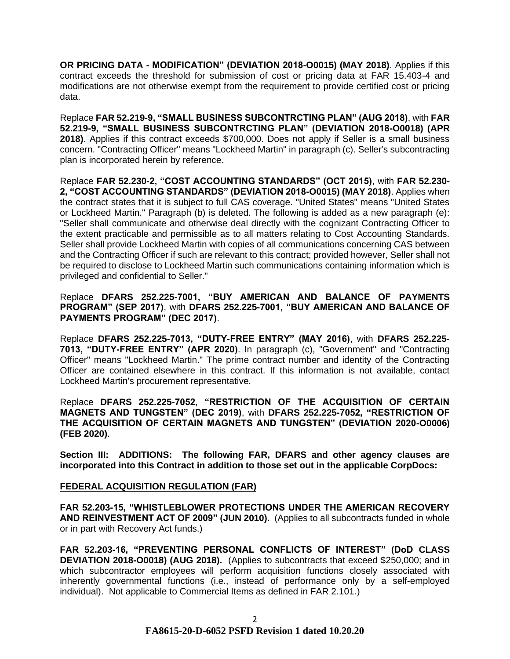**OR PRICING DATA - MODIFICATION" (DEVIATION 2018-O0015) (MAY 2018)**. Applies if this contract exceeds the threshold for submission of cost or pricing data at FAR 15.403-4 and modifications are not otherwise exempt from the requirement to provide certified cost or pricing data.

Replace **FAR 52.219-9, "SMALL BUSINESS SUBCONTRCTING PLAN" (AUG 2018)**, with **FAR 52.219-9, "SMALL BUSINESS SUBCONTRCTING PLAN" (DEVIATION 2018-O0018) (APR 2018)**. Applies if this contract exceeds \$700,000. Does not apply if Seller is a small business concern. "Contracting Officer" means "Lockheed Martin" in paragraph (c). Seller's subcontracting plan is incorporated herein by reference.

Replace **FAR 52.230-2, "COST ACCOUNTING STANDARDS" (OCT 2015)**, with **FAR 52.230- 2, "COST ACCOUNTING STANDARDS" (DEVIATION 2018-O0015) (MAY 2018)**. Applies when the contract states that it is subject to full CAS coverage. "United States" means "United States or Lockheed Martin." Paragraph (b) is deleted. The following is added as a new paragraph (e): "Seller shall communicate and otherwise deal directly with the cognizant Contracting Officer to the extent practicable and permissible as to all matters relating to Cost Accounting Standards. Seller shall provide Lockheed Martin with copies of all communications concerning CAS between and the Contracting Officer if such are relevant to this contract; provided however, Seller shall not be required to disclose to Lockheed Martin such communications containing information which is privileged and confidential to Seller."

# Replace **DFARS 252.225-7001, "BUY AMERICAN AND BALANCE OF PAYMENTS PROGRAM" (SEP 2017)**, with **DFARS 252.225-7001, "BUY AMERICAN AND BALANCE OF PAYMENTS PROGRAM" (DEC 2017)**.

Replace **DFARS 252.225-7013, "DUTY-FREE ENTRY" (MAY 2016)**, with **DFARS 252.225- 7013, "DUTY-FREE ENTRY" (APR 2020)**. In paragraph (c), "Government" and "Contracting Officer" means "Lockheed Martin." The prime contract number and identity of the Contracting Officer are contained elsewhere in this contract. If this information is not available, contact Lockheed Martin's procurement representative.

Replace **DFARS 252.225-7052, "RESTRICTION OF THE ACQUISITION OF CERTAIN MAGNETS AND TUNGSTEN" (DEC 2019)**, with **DFARS 252.225-7052, "RESTRICTION OF THE ACQUISITION OF CERTAIN MAGNETS AND TUNGSTEN" (DEVIATION 2020-O0006) (FEB 2020)**.

**Section III: ADDITIONS: The following FAR, DFARS and other agency clauses are incorporated into this Contract in addition to those set out in the applicable CorpDocs:**

# **[FEDERAL ACQUISITION REGULATION \(](https://www.acquisition.gov/browsefar)FAR)**

**FAR 52.203-15, "WHISTLEBLOWER PROTECTIONS UNDER THE AMERICAN RECOVERY AND REINVESTMENT ACT OF 2009" (JUN 2010).** (Applies to all subcontracts funded in whole or in part with Recovery Act funds.)

**FAR 52.203-16, "PREVENTING PERSONAL CONFLICTS OF INTEREST" (DoD CLASS DEVIATION 2018-O0018) (AUG 2018).** (Applies to subcontracts that exceed \$250,000; and in which subcontractor employees will perform acquisition functions closely associated with inherently governmental functions (i.e., instead of performance only by a self-employed individual). Not applicable to Commercial Items as defined in FAR 2.101.)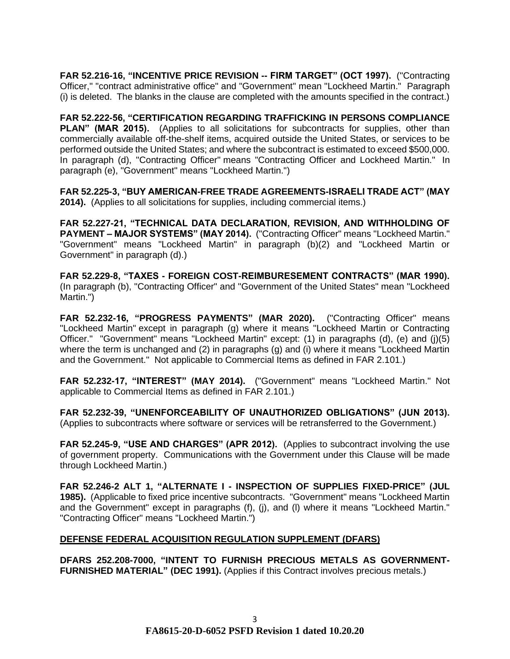**FAR 52.216-16, "INCENTIVE PRICE REVISION -- FIRM TARGET" (OCT 1997).** ("Contracting Officer," "contract administrative office" and "Government" mean "Lockheed Martin." Paragraph (i) is deleted. The blanks in the clause are completed with the amounts specified in the contract.)

**FAR 52.222-56, "CERTIFICATION REGARDING TRAFFICKING IN PERSONS COMPLIANCE PLAN" (MAR 2015).** (Applies to all solicitations for subcontracts for supplies, other than commercially available off-the-shelf items, acquired outside the United States, or services to be performed outside the United States; and where the subcontract is estimated to exceed \$500,000. In paragraph (d), "Contracting Officer" means "Contracting Officer and Lockheed Martin." In paragraph (e), "Government" means "Lockheed Martin.")

**FAR 52.225-3, "BUY AMERICAN-FREE TRADE AGREEMENTS-ISRAELI TRADE ACT" (MAY 2014).** (Applies to all solicitations for supplies, including commercial items.)

**FAR 52.227-21, "TECHNICAL DATA DECLARATION, REVISION, AND WITHHOLDING OF PAYMENT – MAJOR SYSTEMS" (MAY 2014).** ("Contracting Officer" means "Lockheed Martin." "Government" means "Lockheed Martin" in paragraph (b)(2) and "Lockheed Martin or Government" in paragraph (d).)

**FAR 52.229-8, "TAXES - FOREIGN COST-REIMBURESEMENT CONTRACTS" (MAR 1990).** (In paragraph (b), "Contracting Officer" and "Government of the United States" mean "Lockheed Martin.")

**FAR 52.232-16, "PROGRESS PAYMENTS" (MAR 2020).** ("Contracting Officer" means "Lockheed Martin" except in paragraph (g) where it means "Lockheed Martin or Contracting Officer." "Government" means "Lockheed Martin" except: (1) in paragraphs (d), (e) and (j)(5) where the term is unchanged and (2) in paragraphs (g) and (i) where it means "Lockheed Martin and the Government." Not applicable to Commercial Items as defined in FAR 2.101.)

**FAR 52.232-17, "INTEREST" (MAY 2014).** ("Government" means "Lockheed Martin." Not applicable to Commercial Items as defined in FAR 2.101.)

**FAR 52.232-39, "UNENFORCEABILITY OF UNAUTHORIZED OBLIGATIONS" (JUN 2013).** (Applies to subcontracts where software or services will be retransferred to the Government.)

**FAR 52.245-9, "USE AND CHARGES" (APR 2012).** (Applies to subcontract involving the use of government property. Communications with the Government under this Clause will be made through Lockheed Martin.)

**FAR 52.246-2 ALT 1, "ALTERNATE I - INSPECTION OF SUPPLIES FIXED-PRICE" (JUL 1985).** (Applicable to fixed price incentive subcontracts. "Government" means "Lockheed Martin and the Government" except in paragraphs (f), (j), and (l) where it means "Lockheed Martin." "Contracting Officer" means "Lockheed Martin.")

# **DEFENSE FEDERAL ACQUISITION REGULATION SUPPLEMENT (DFARS)**

**DFARS 252.208-7000, "INTENT TO FURNISH PRECIOUS METALS AS GOVERNMENT-FURNISHED MATERIAL" (DEC 1991).** (Applies if this Contract involves precious metals.)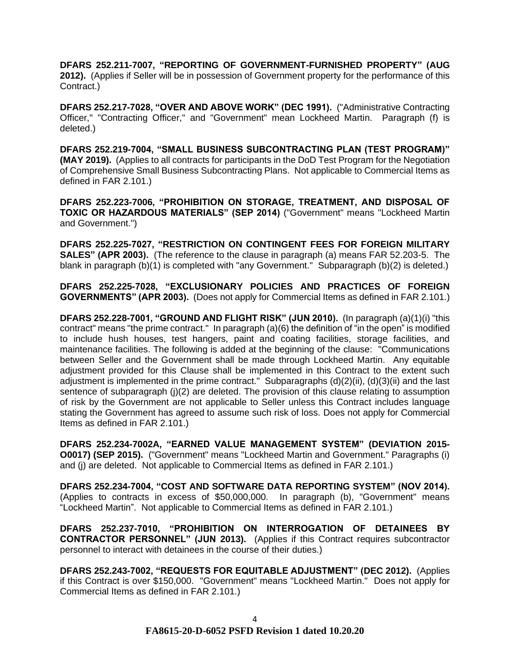**DFARS 252.211-7007, "REPORTING OF GOVERNMENT-FURNISHED PROPERTY" (AUG 2012).** (Applies if Seller will be in possession of Government property for the performance of this Contract.)

**DFARS 252.217-7028, "OVER AND ABOVE WORK" (DEC 1991).** ("Administrative Contracting Officer," "Contracting Officer," and "Government" mean Lockheed Martin. Paragraph (f) is deleted.)

**DFARS 252.219-7004, "SMALL BUSINESS SUBCONTRACTING PLAN (TEST PROGRAM)" (MAY 2019).** (Applies to all contracts for participants in the DoD Test Program for the Negotiation of Comprehensive Small Business Subcontracting Plans. Not applicable to Commercial Items as defined in FAR 2.101.)

**DFARS 252.223-7006, "PROHIBITION ON STORAGE, TREATMENT, AND DISPOSAL OF TOXIC OR HAZARDOUS MATERIALS" (SEP 2014)** ("Government" means "Lockheed Martin and Government.")

**DFARS 252.225-7027, "RESTRICTION ON CONTINGENT FEES FOR FOREIGN MILITARY SALES" (APR 2003).** (The reference to the clause in paragraph (a) means FAR 52.203-5. The blank in paragraph (b)(1) is completed with "any Government." Subparagraph (b)(2) is deleted.)

**DFARS 252.225-7028, "EXCLUSIONARY POLICIES AND PRACTICES OF FOREIGN GOVERNMENTS" (APR 2003).** (Does not apply for Commercial Items as defined in FAR 2.101.)

**DFARS 252.228-7001, "GROUND AND FLIGHT RISK" (JUN 2010).** (In paragraph (a)(1)(i) "this contract" means "the prime contract." In paragraph (a)(6) the definition of "in the open" is modified to include hush houses, test hangers, paint and coating facilities, storage facilities, and maintenance facilities. The following is added at the beginning of the clause: "Communications between Seller and the Government shall be made through Lockheed Martin. Any equitable adjustment provided for this Clause shall be implemented in this Contract to the extent such adjustment is implemented in the prime contract." Subparagraphs (d)(2)(ii), (d)(3)(ii) and the last sentence of subparagraph (j)(2) are deleted. The provision of this clause relating to assumption of risk by the Government are not applicable to Seller unless this Contract includes language stating the Government has agreed to assume such risk of loss. Does not apply for Commercial Items as defined in FAR 2.101.)

**DFARS 252.234-7002A, "EARNED VALUE MANAGEMENT SYSTEM" (DEVIATION 2015- O0017) (SEP 2015).** ("Government" means "Lockheed Martin and Government." Paragraphs (i) and (j) are deleted. Not applicable to Commercial Items as defined in FAR 2.101.)

**DFARS 252.234-7004, "COST AND SOFTWARE DATA REPORTING SYSTEM" (NOV 2014).**  (Applies to contracts in excess of \$50,000,000. In paragraph (b), "Government" means "Lockheed Martin". Not applicable to Commercial Items as defined in FAR 2.101.)

**DFARS 252.237-7010, "PROHIBITION ON INTERROGATION OF DETAINEES BY CONTRACTOR PERSONNEL" (JUN 2013).** (Applies if this Contract requires subcontractor personnel to interact with detainees in the course of their duties.)

**DFARS 252.243-7002, "REQUESTS FOR EQUITABLE ADJUSTMENT" (DEC 2012).** (Applies if this Contract is over \$150,000. "Government" means "Lockheed Martin." Does not apply for Commercial Items as defined in FAR 2.101.)